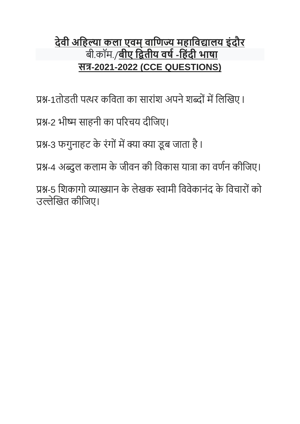# **देवी अहिल्या कला एवम्वाहिज्य मिाहवद्यालय इंदौर** बी.कॉम./**बीए हितीय वर्ष-हिंदी भार्ा सत्र-2021-2022 (CCE QUESTIONS)**

प्रश्न-1तोडती पत्थर कविता का सारांश अपने शब्दों में लिखिए l

प्रश्न-2 भीष्म साहनी का पररचय दीविए।

प्रश्न-3 फगुनाहट के रंगों में क्या क्या डूब जाता है।

प्रश्न-4 अब्दुल कलाम के जीवन की विकास यात्रा का वर्णन कीजिए।

प्रश्न-5 शिकागो व्याख्यान के लेखक स्वामी विवेकानंद के विचारों को उल्लेखित कीविए।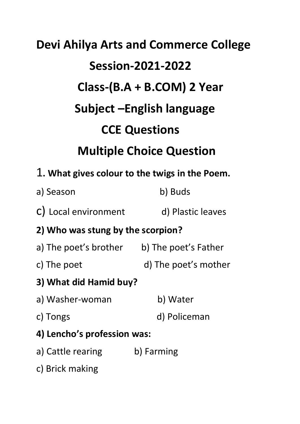# **Devi Ahilya Arts and Commerce College Session-2021-2022 Class-(B.A + B.COM) 2 Year Subject –English language CCE Questions Multiple Choice Question** 1**. What gives colour to the twigs in the Poem.**

- a) Season b) Buds
- c) Local environment d) Plastic leaves

## **2) Who was stung by the scorpion?**

- a) The poet's brother b) The poet's Father
- c) The poet d) The poet's mother
- **3) What did Hamid buy?**
- a) Washer-woman b) Water
- 
- c) Tongs d) Policeman
- **4) Lencho's profession was:**
- a) Cattle rearing b) Farming
- c) Brick making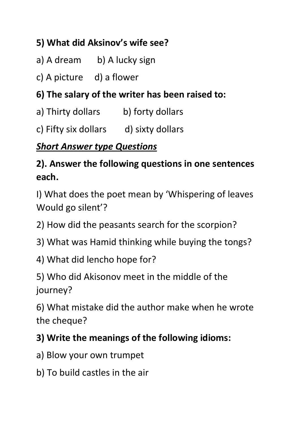# **5) What did Aksinov's wife see?**

- a) A dream b) A lucky sign
- c) A picture d) a flower

## **6) The salary of the writer has been raised to:**

- a) Thirty dollars b) forty dollars
- c) Fifty six dollars d) sixty dollars

## *Short Answer type Questions*

# **2). Answer the following questions in one sentences each.**

I) What does the poet mean by 'Whispering of leaves Would go silent'?

- 2) How did the peasants search for the scorpion?
- 3) What was Hamid thinking while buying the tongs?
- 4) What did lencho hope for?

5) Who did Akisonov meet in the middle of the journey?

6) What mistake did the author make when he wrote the cheque?

#### **3) Write the meanings of the following idioms:**

- a) Blow your own trumpet
- b) To build castles in the air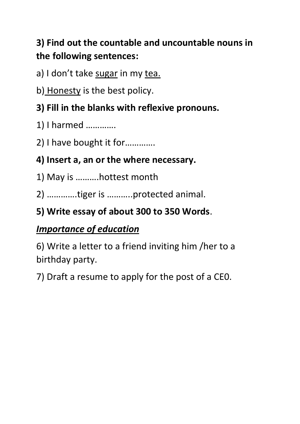# **3) Find out the countable and uncountable nouns in the following sentences:**

a) I don't take sugar in my tea.

b) Honesty is the best policy.

## **3) Fill in the blanks with reflexive pronouns.**

1) I harmed ………….

2) I have bought it for………….

#### **4) Insert a, an or the where necessary.**

1) May is ……….hottest month

2) ………….tiger is ………..protected animal.

# **5) Write essay of about 300 to 350 Words**.

## *Importance of education*

6) Write a letter to a friend inviting him /her to a birthday party.

7) Draft a resume to apply for the post of a CE0.